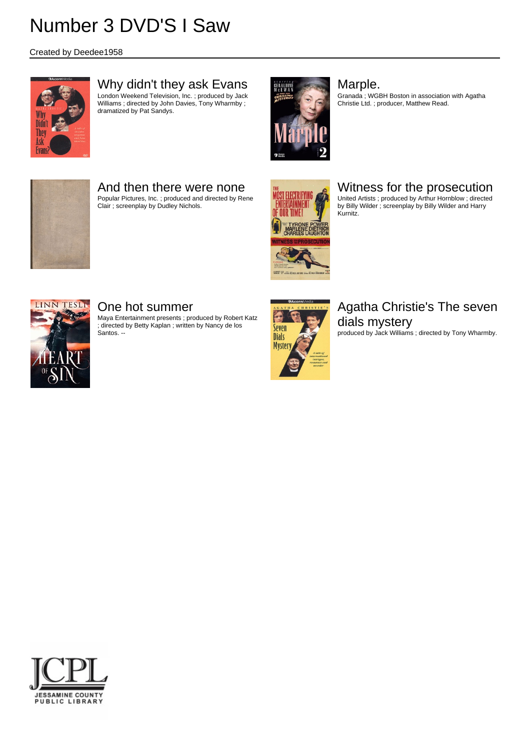Created by Deedee1958



## Why didn't they ask Evans

London Weekend Television, Inc. ; produced by Jack Williams ; directed by John Davies, Tony Wharmby ; dramatized by Pat Sandys.



#### Marple.

Granada ; WGBH Boston in association with Agatha Christie Ltd. ; producer, Matthew Read.



## And then there were none

Popular Pictures, Inc. ; produced and directed by Rene Clair ; screenplay by Dudley Nichols.



## Witness for the prosecution

United Artists ; produced by Arthur Hornblow ; directed by Billy Wilder ; screenplay by Billy Wilder and Harry Kurnitz.



### One hot summer

Maya Entertainment presents ; produced by Robert Katz ; directed by Betty Kaplan ; written by Nancy de los Santos. --



# Agatha Christie's The seven dials mystery

produced by Jack Williams ; directed by Tony Wharmby.

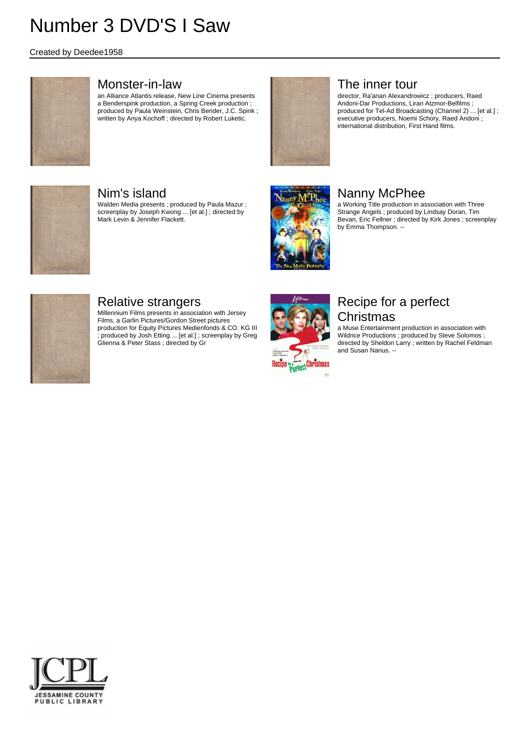#### Created by Deedee1958



#### Monster-in-law

an Alliance Atlantis release, New Line Cinema presents a Benderspink production, a Spring Creek production ; produced by Paula Weinstein, Chris Bender, J.C. Spink ; written by Anya Kochoff ; directed by Robert Luketic.



### The inner tour

director, Ra'anan Alexandrowicz ; producers, Raed Andoni-Dar Productions, Liran Atzmor-Belfilms ; produced for Tel-Ad Broadcasting (Channel 2) ... [et al.] ; executive producers, Noemi Schory, Raed Andoni ; international distribution, First Hand films.



## Nim's island

Walden Media presents ; produced by Paula Mazur ; screenplay by Joseph Kwong ... [et al.] ; directed by Mark Levin & Jennifer Flackett.



## Nanny McPhee

a Working Title production in association with Three Strange Angels ; produced by Lindsay Doran, Tim Bevan, Eric Fellner ; directed by Kirk Jones ; screenplay by Emma Thompson. --



## Relative strangers

Millennium Films presents in association with Jersey Films, a Garlin Pictures/Gordon Street pictures production for Equity Pictures Medienfonds & CO. KG III ; produced by Josh Etting ... [et al.] ; screenplay by Greg Glienna & Peter Stass ; directed by Gr



## Recipe for a perfect **Christmas**

a Muse Entertainment production in association with Wildrice Productions ; produced by Steve Solomos ; directed by Sheldon Larry ; written by Rachel Feldman and Susan Nanus. --

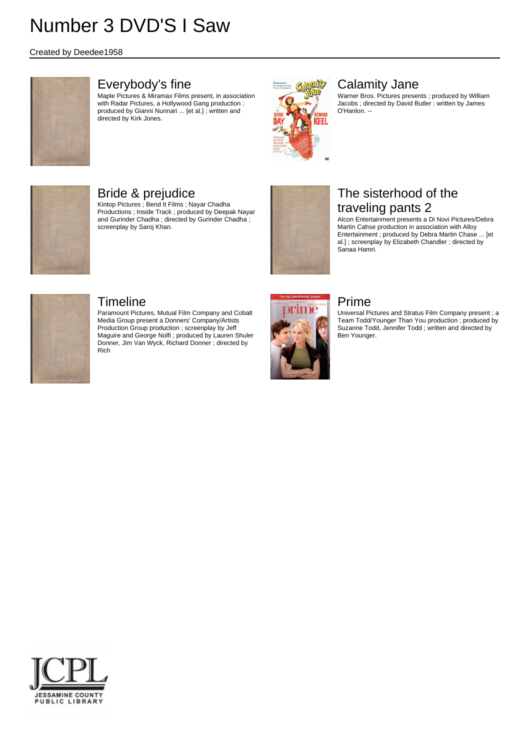#### Created by Deedee1958



### Everybody's fine

Maple Pictures & Miramax Films present, in association with Radar Pictures, a Hollywood Gang production ; produced by Gianni Nunnari ... [et al.] ; written and directed by Kirk Jones.



## Calamity Jane

Warner Bros. Pictures presents ; produced by William Jacobs ; directed by David Butler ; written by James O'Hanlon. --



# Bride & prejudice

Kintop Pictures ; Bend It Films ; Nayar Chadha Productions ; Inside Track ; produced by Deepak Nayar and Gurinder Chadha ; directed by Gurinder Chadha ; screenplay by Saroj Khan.



# The sisterhood of the traveling pants 2

Alcon Entertainment presents a Di Novi Pictures/Debra Martin Cahse production in association with Alloy Entertainment ; produced by Debra Martin Chase ... [et al.] ; screenplay by Elizabeth Chandler ; directed by Sanaa Hamri.

# Prime

Universal Pictures and Stratus Film Company present ; a Team Todd/Younger Than You production ; produced by Suzanne Todd, Jennifer Todd ; written and directed by Ben Younger.



### Timeline

Paramount Pictures, Mutual Film Company and Cobalt Media Group present a Donners' Company/Artists Production Group production ; screenplay by Jeff Maguire and George Nolfi ; produced by Lauren Shuler Donner, Jim Van Wyck, Richard Donner ; directed by Rich